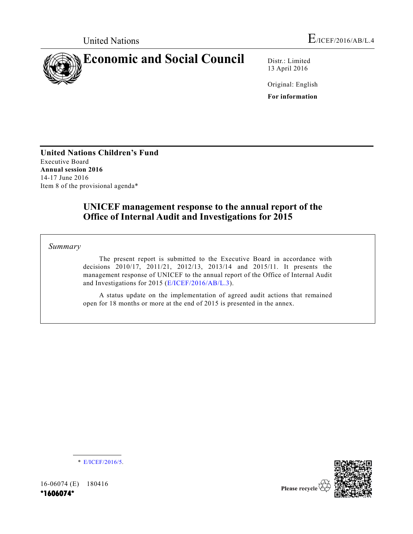

13 April 2016

Original: English **For information**

**United Nations Children's Fund** Executive Board **Annual session 2016** 14-17 June 2016 Item 8 of the provisional agenda\*

# **UNICEF management response to the annual report of the Office of Internal Audit and Investigations for 2015**

*Summary*

The present report is submitted to the Executive Board in accordance with decisions 2010/17, 2011/21, 2012/13, 2013/14 and 2015/11. It presents the management response of UNICEF to the annual report of the Office of Internal Audit and Investigations for 2015 (E/ICEF/2016/AB/L.3).

A status update on the implementation of agreed audit actions that remained open for 18 months or more at the end of 2015 is presented in the annex.

\* E/ICEF/2016/5.

16-06074 (E) 180416 **\*1606074\*** 

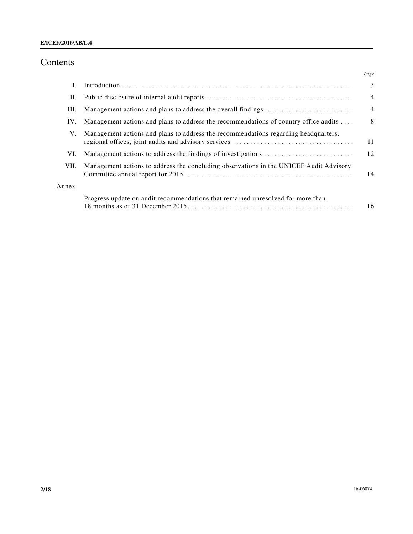# Contents

|       |                                                                                        | Page           |
|-------|----------------------------------------------------------------------------------------|----------------|
| I.    |                                                                                        | 3              |
| П.    |                                                                                        | $\overline{4}$ |
| III.  |                                                                                        | $\overline{4}$ |
| IV.   | Management actions and plans to address the recommendations of country office audits   | 8              |
| V.    | Management actions and plans to address the recommendations regarding headquarters,    | 11             |
| VI.   | Management actions to address the findings of investigations                           | 12             |
| VII.  | Management actions to address the concluding observations in the UNICEF Audit Advisory | 14             |
| Annex |                                                                                        |                |
|       | Progress update on audit recommendations that remained unresolved for more than        | 16             |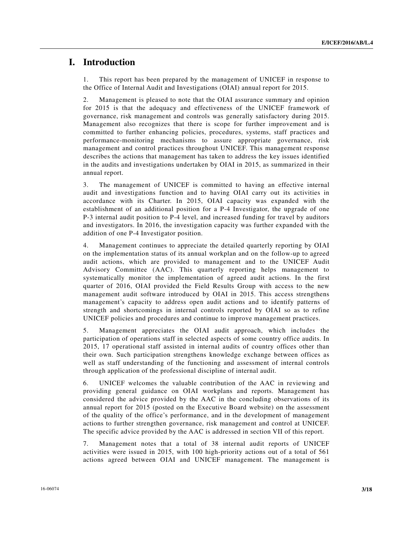## **I. Introduction**

1. This report has been prepared by the management of UNICEF in response to the Office of Internal Audit and Investigations (OIAI) annual report for 2015.

2. Management is pleased to note that the OIAI assurance summary and opinion for 2015 is that the adequacy and effectiveness of the UNICEF framework of governance, risk management and controls was generally satisfactory during 2015. Management also recognizes that there is scope for further improvement and is committed to further enhancing policies, procedures, systems, staff practices and performance-monitoring mechanisms to assure appropriate governance, risk management and control practices throughout UNICEF. This management response describes the actions that management has taken to address the key issues identified in the audits and investigations undertaken by OIAI in 2015, as summarized in their annual report.

3. The management of UNICEF is committed to having an effective internal audit and investigations function and to having OIAI carry out its activities in accordance with its Charter. In 2015, OIAI capacity was expanded with the establishment of an additional position for a P-4 Investigator, the upgrade of one P-3 internal audit position to P-4 level, and increased funding for travel by auditors and investigators. In 2016, the investigation capacity was further expanded with the addition of one P-4 Investigator position.

4. Management continues to appreciate the detailed quarterly reporting by OIAI on the implementation status of its annual workplan and on the follow-up to agreed audit actions, which are provided to management and to the UNICEF Audit Advisory Committee (AAC). This quarterly reporting helps management to systematically monitor the implementation of agreed audit actions. In the first quarter of 2016, OIAI provided the Field Results Group with access to the new management audit software introduced by OIAI in 2015. This access strengthens management's capacity to address open audit actions and to identify patterns of strength and shortcomings in internal controls reported by OIAI so as to refine UNICEF policies and procedures and continue to improve management practices.

5. Management appreciates the OIAI audit approach, which includes the participation of operations staff in selected aspects of some country office audits. In 2015, 17 operational staff assisted in internal audits of country offices other than their own. Such participation strengthens knowledge exchange between offices as well as staff understanding of the functioning and assessment of internal controls through application of the professional discipline of internal audit.

6. UNICEF welcomes the valuable contribution of the AAC in reviewing and providing general guidance on OIAI workplans and reports. Management has considered the advice provided by the AAC in the concluding observations of its annual report for 2015 (posted on the Executive Board website) on the assessment of the quality of the office's performance, and in the development of management actions to further strengthen governance, risk management and control at UNICEF. The specific advice provided by the AAC is addressed in section VII of this report.

7. Management notes that a total of 38 internal audit reports of UNICEF activities were issued in 2015, with 100 high-priority actions out of a total of 561 actions agreed between OIAI and UNICEF management. The management is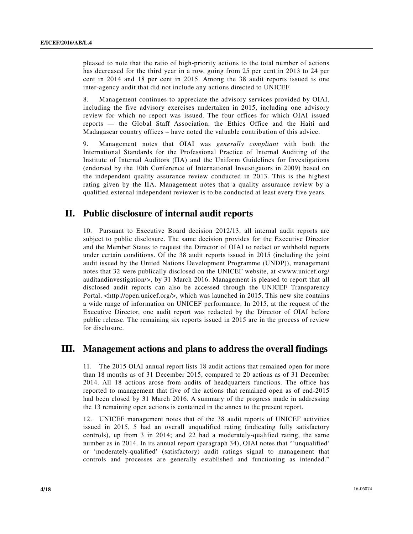pleased to note that the ratio of high-priority actions to the total number of actions has decreased for the third year in a row, going from 25 per cent in 2013 to 24 per cent in 2014 and 18 per cent in 2015. Among the 38 audit reports issued is one inter-agency audit that did not include any actions directed to UNICEF.

8. Management continues to appreciate the advisory services provided by OIAI, including the five advisory exercises undertaken in 2015, including one advisory review for which no report was issued. The four offices for which OIAI issued reports — the Global Staff Association, the Ethics Office and the Haiti and Madagascar country offices – have noted the valuable contribution of this advice.

9. Management notes that OIAI was *generally compliant* with both the International Standards for the Professional Practice of Internal Auditing of the Institute of Internal Auditors (IIA) and the Uniform Guidelines for Investigations (endorsed by the 10th Conference of International Investigators in 2009) based on the independent quality assurance review conducted in 2013. This is the highest rating given by the IIA. Management notes that a quality assurance review by a qualified external independent reviewer is to be conducted at least every five years.

# **II. Public disclosure of internal audit reports**

10. Pursuant to Executive Board decision 2012/13, all internal audit reports are subject to public disclosure. The same decision provides for the Executive Director and the Member States to request the Director of OIAI to redact or withhold reports under certain conditions. Of the 38 audit reports issued in 2015 (including the joint audit issued by the United Nations Development Programme (UNDP)), management notes that 32 were publically disclosed on the UNICEF website, at <www.unicef.org/ auditandinvestigation/>, by 31 March 2016. Management is pleased to report that all disclosed audit reports can also be accessed through the UNICEF Transparency Portal, <http://open.unicef.org/>, which was launched in 2015. This new site contains a wide range of information on UNICEF performance. In 2015, at the request of the Executive Director, one audit report was redacted by the Director of OIAI before public release. The remaining six reports issued in 2015 are in the process of review for disclosure.

# **III. Management actions and plans to address the overall findings**

11. The 2015 OIAI annual report lists 18 audit actions that remained open for more than 18 months as of 31 December 2015, compared to 20 actions as of 31 December 2014. All 18 actions arose from audits of headquarters functions. The office has reported to management that five of the actions that remained open as of end-2015 had been closed by 31 March 2016. A summary of the progress made in addressing the 13 remaining open actions is contained in the annex to the present report.

12. UNICEF management notes that of the 38 audit reports of UNICEF activities issued in 2015, 5 had an overall unqualified rating (indicating fully satisfactory controls), up from 3 in 2014; and 22 had a moderately-qualified rating, the same number as in 2014. In its annual report (paragraph 34), OIAI notes that "'unqualified' or 'moderately-qualified' (satisfactory) audit ratings signal to management that controls and processes are generally established and functioning as intended."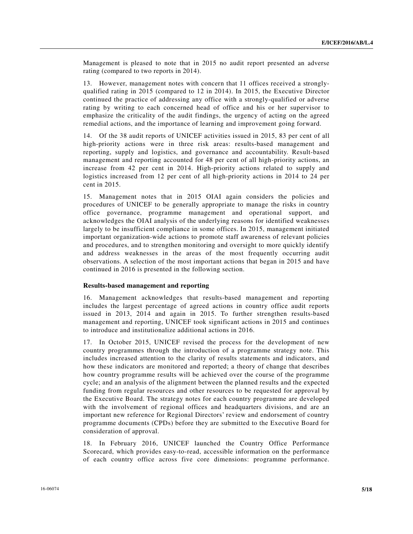Management is pleased to note that in 2015 no audit report presented an adverse rating (compared to two reports in 2014).

13. However, management notes with concern that 11 offices received a stronglyqualified rating in 2015 (compared to 12 in 2014). In 2015, the Executive Director continued the practice of addressing any office with a strongly-qualified or adverse rating by writing to each concerned head of office and his or her supervisor to emphasize the criticality of the audit findings, the urgency of acting on the agreed remedial actions, and the importance of learning and improvement going forward.

14. Of the 38 audit reports of UNICEF activities issued in 2015, 83 per cent of all high-priority actions were in three risk areas: results-based management and reporting, supply and logistics, and governance and accountability. Result-based management and reporting accounted for 48 per cent of all high-priority actions, an increase from 42 per cent in 2014. High-priority actions related to supply and logistics increased from 12 per cent of all high-priority actions in 2014 to 24 per cent in 2015.

15. Management notes that in 2015 OIAI again considers the policies and procedures of UNICEF to be generally appropriate to manage the risks in country office governance, programme management and operational support, and acknowledges the OIAI analysis of the underlying reasons for identified weaknesses largely to be insufficient compliance in some offices. In 2015, management initiated important organization-wide actions to promote staff awareness of relevant policies and procedures, and to strengthen monitoring and oversight to more quickly identify and address weaknesses in the areas of the most frequently occurring audit observations. A selection of the most important actions that began in 2015 and have continued in 2016 is presented in the following section.

#### **Results-based management and reporting**

16. Management acknowledges that results-based management and reporting includes the largest percentage of agreed actions in country office audit reports issued in 2013, 2014 and again in 2015. To further strengthen results-based management and reporting, UNICEF took significant actions in 2015 and continues to introduce and institutionalize additional actions in 2016.

17. In October 2015, UNICEF revised the process for the development of new country programmes through the introduction of a programme strategy note. This includes increased attention to the clarity of results statements and indicators, and how these indicators are monitored and reported; a theory of change that describes how country programme results will be achieved over the course of the programme cycle; and an analysis of the alignment between the planned results and the expected funding from regular resources and other resources to be requested for approval by the Executive Board. The strategy notes for each country programme are developed with the involvement of regional offices and headquarters divisions, and are an important new reference for Regional Directors' review and endorsement of country programme documents (CPDs) before they are submitted to the Executive Board for consideration of approval.

18. In February 2016, UNICEF launched the Country Office Performance Scorecard, which provides easy-to-read, accessible information on the performance of each country office across five core dimensions: programme performance.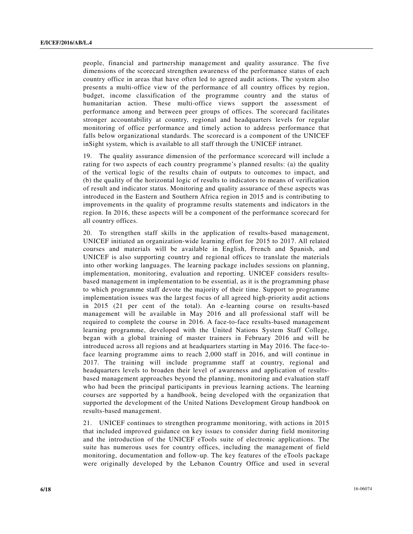people, financial and partnership management and quality assurance. The five dimensions of the scorecard strengthen awareness of the performance status of each country office in areas that have often led to agreed audit actions. The system also presents a multi-office view of the performance of all country offices by region, budget, income classification of the programme country and the status of humanitarian action. These multi-office views support the assessment of performance among and between peer groups of offices. The scorecard facilitates stronger accountability at country, regional and headquarters levels for regular monitoring of office performance and timely action to address performance that falls below organizational standards. The scorecard is a component of the UNICEF inSight system, which is available to all staff through the UNICEF intranet.

19. The quality assurance dimension of the performance scorecard will include a rating for two aspects of each country programme's planned results: (a) the quality of the vertical logic of the results chain of outputs to outcomes to impact, and (b) the quality of the horizontal logic of results to indicators to means of verification of result and indicator status. Monitoring and quality assurance of these aspects was introduced in the Eastern and Southern Africa region in 2015 and is contributing to improvements in the quality of programme results statements and indicators in the region. In 2016, these aspects will be a component of the performance scorecard for all country offices.

20. To strengthen staff skills in the application of results-based management, UNICEF initiated an organization-wide learning effort for 2015 to 2017. All related courses and materials will be available in English, French and Spanish, and UNICEF is also supporting country and regional offices to translate the materials into other working languages. The learning package includes sessions on planning, implementation, monitoring, evaluation and reporting. UNICEF considers resultsbased management in implementation to be essential, as it is the programming phase to which programme staff devote the majority of their time. Support to programme implementation issues was the largest focus of all agreed high-priority audit actions in 2015 (21 per cent of the total). An e-learning course on results-based management will be available in May 2016 and all professional staff will be required to complete the course in 2016. A face-to-face results-based management learning programme, developed with the United Nations System Staff College, began with a global training of master trainers in February 2016 and will be introduced across all regions and at headquarters starting in May 2016. The face-toface learning programme aims to reach 2,000 staff in 2016, and will continue in 2017. The training will include programme staff at country, regional and headquarters levels to broaden their level of awareness and application of resultsbased management approaches beyond the planning, monitoring and evaluation staff who had been the principal participants in previous learning actions. The learning courses are supported by a handbook, being developed with the organization that supported the development of the United Nations Development Group handbook on results-based management.

21. UNICEF continues to strengthen programme monitoring, with actions in 2015 that included improved guidance on key issues to consider during field monitoring and the introduction of the UNICEF eTools suite of electronic applications. The suite has numerous uses for country offices, including the management of field monitoring, documentation and follow-up. The key features of the eTools package were originally developed by the Lebanon Country Office and used in several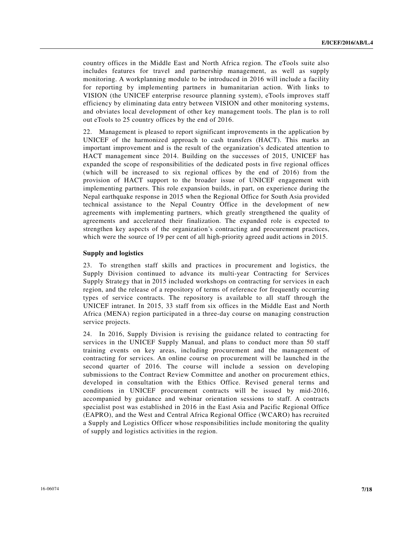country offices in the Middle East and North Africa region. The eTools suite also includes features for travel and partnership management, as well as supply monitoring. A workplanning module to be introduced in 2016 will include a facility for reporting by implementing partners in humanitarian action. With links to VISION (the UNICEF enterprise resource planning system), eTools improves staff efficiency by eliminating data entry between VISION and other monitoring systems, and obviates local development of other key management tools. The plan is to roll out eTools to 25 country offices by the end of 2016.

22. Management is pleased to report significant improvements in the application by UNICEF of the harmonized approach to cash transfers (HACT). This marks an important improvement and is the result of the organization's dedicated attention to HACT management since 2014. Building on the successes of 2015, UNICEF has expanded the scope of responsibilities of the dedicated posts in five regional offices (which will be increased to six regional offices by the end of 2016) from the provision of HACT support to the broader issue of UNICEF engagement with implementing partners. This role expansion builds, in part, on experience during the Nepal earthquake response in 2015 when the Regional Office for South Asia provided technical assistance to the Nepal Country Office in the development of new agreements with implementing partners, which greatly strengthened the quality of agreements and accelerated their finalization. The expanded role is expected to strengthen key aspects of the organization's contracting and procurement practices, which were the source of 19 per cent of all high-priority agreed audit actions in 2015.

#### **Supply and logistics**

23. To strengthen staff skills and practices in procurement and logistics, the Supply Division continued to advance its multi-year Contracting for Services Supply Strategy that in 2015 included workshops on contracting for services in each region, and the release of a repository of terms of reference for frequently occurring types of service contracts. The repository is available to all staff through the UNICEF intranet. In 2015, 33 staff from six offices in the Middle East and North Africa (MENA) region participated in a three-day course on managing construction service projects.

24. In 2016, Supply Division is revising the guidance related to contracting for services in the UNICEF Supply Manual, and plans to conduct more than 50 staff training events on key areas, including procurement and the management of contracting for services. An online course on procurement will be launched in the second quarter of 2016. The course will include a session on developing submissions to the Contract Review Committee and another on procurement ethics, developed in consultation with the Ethics Office. Revised general terms and conditions in UNICEF procurement contracts will be issued by mid-2016, accompanied by guidance and webinar orientation sessions to staff. A contracts specialist post was established in 2016 in the East Asia and Pacific Regional Office (EAPRO), and the West and Central Africa Regional Office (WCARO) has recruited a Supply and Logistics Officer whose responsibilities include monitoring the quality of supply and logistics activities in the region.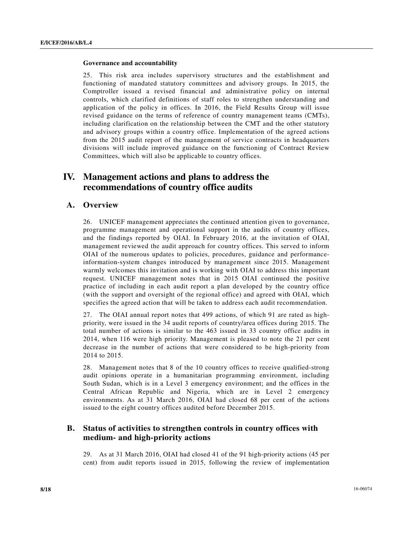#### **Governance and accountability**

25. This risk area includes supervisory structures and the establishment and functioning of mandated statutory committees and advisory groups. In 2015, the Comptroller issued a revised financial and administrative policy on internal controls, which clarified definitions of staff roles to strengthen understanding and application of the policy in offices. In 2016, the Field Results Group will issue revised guidance on the terms of reference of country management teams (CMTs), including clarification on the relationship between the CMT and the other statutory and advisory groups within a country office. Implementation of the agreed actions from the 2015 audit report of the management of service contracts in headquarters divisions will include improved guidance on the functioning of Contract Review Committees, which will also be applicable to country offices.

# **IV. Management actions and plans to address the recommendations of country office audits**

## **A. Overview**

26. UNICEF management appreciates the continued attention given to governance, programme management and operational support in the audits of country offices, and the findings reported by OIAI. In February 2016, at the invitation of OIAI, management reviewed the audit approach for country offices. This served to inform OIAI of the numerous updates to policies, procedures, guidance and performanceinformation-system changes introduced by management since 2015. Management warmly welcomes this invitation and is working with OIAI to address this important request. UNICEF management notes that in 2015 OIAI continued the positive practice of including in each audit report a plan developed by the country office (with the support and oversight of the regional office) and agreed with OIAI, which specifies the agreed action that will be taken to address each audit recommendation.

27. The OIAI annual report notes that 499 actions, of which 91 are rated as highpriority, were issued in the 34 audit reports of country/area offices during 2015. The total number of actions is similar to the 463 issued in 33 country office audits in 2014, when 116 were high priority. Management is pleased to note the 21 per cent decrease in the number of actions that were considered to be high-priority from 2014 to 2015.

28. Management notes that 8 of the 10 country offices to receive qualified-strong audit opinions operate in a humanitarian programming environment, including South Sudan, which is in a Level 3 emergency environment; and the offices in the Central African Republic and Nigeria, which are in Level 2 emergency environments. As at 31 March 2016, OIAI had closed 68 per cent of the actions issued to the eight country offices audited before December 2015.

# **B. Status of activities to strengthen controls in country offices with medium- and high-priority actions**

29. As at 31 March 2016, OIAI had closed 41 of the 91 high-priority actions (45 per cent) from audit reports issued in 2015, following the review of implementation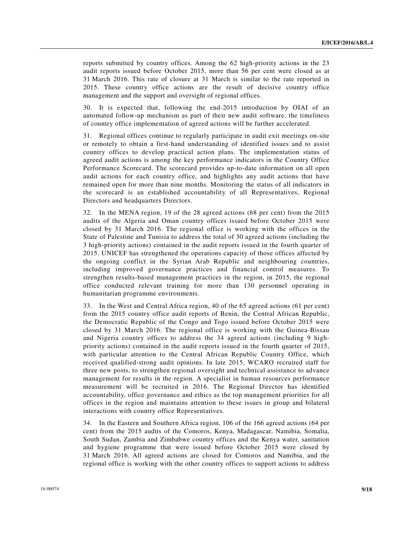reports submitted by country offices. Among the 62 high-priority actions in the 23 audit reports issued before October 2015, more than 56 per cent were closed as at 31 March 2016. This rate of closure at 31 March is similar to the rate reported in 2015. These country office actions are the result of decisive country office management and the support and oversight of regional offices.

30. It is expected that, following the end-2015 introduction by OIAI of an automated follow-up mechanism as part of their new audit software, the timeliness of country office implementation of agreed actions will be further accelerated.

31. Regional offices continue to regularly participate in audit exit meetings on-site or remotely to obtain a first-hand understanding of identified issues and to assist country offices to develop practical action plans. The implementation status of agreed audit actions is among the key performance indicators in the Country Office Performance Scorecard. The scorecard provides up-to-date information on all open audit actions for each country office, and highlights any audit actions that have remained open for more than nine months. Monitoring the status of all indicators in the scorecard is an established accountability of all Representatives, Regional Directors and headquarters Directors.

32. In the MENA region, 19 of the 28 agreed actions (68 per cent) from the 2015 audits of the Algeria and Oman country offices issued before October 2015 were closed by 31 March 2016. The regional office is working with the offices in the State of Palestine and Tunisia to address the total of 30 agreed actions (including the 3 high-priority actions) contained in the audit reports issued in the fourth quarter of 2015. UNICEF has strengthened the operations capacity of those offices affected by the ongoing conflict in the Syrian Arab Republic and neighbouring countries, including improved governance practices and financial control measures. To strengthen results-based management practices in the region, in 2015, the regional office conducted relevant training for more than 130 personnel operating in humanitarian programme environments.

33. In the West and Central Africa region, 40 of the 65 agreed actions (61 per cent) from the 2015 country office audit reports of Benin, the Central African Republic, the Democratic Republic of the Congo and Togo issued before October 2015 were closed by 31 March 2016. The regional office is working with the Guinea-Bissau and Nigeria country offices to address the 34 agreed actions (including 9 highpriority actions) contained in the audit reports issued in the fourth quarter of 2015, with particular attention to the Central African Republic Country Office, which received qualified-strong audit opinions. In late 2015, WCARO recruited staff for three new posts, to strengthen regional oversight and technical assistance to advance management for results in the region. A specialist in human resources performance measurement will be recruited in 2016. The Regional Director has identified accountability, office governance and ethics as the top management priorities for all offices in the region and maintains attention to these issues in group and bilateral interactions with country office Representatives.

34. In the Eastern and Southern Africa region, 106 of the 166 agreed actions (64 per cent) from the 2015 audits of the Comoros, Kenya, Madagascar, Namibia, Somalia, South Sudan, Zambia and Zimbabwe country offices and the Kenya water, sanitation and hygiene programme that were issued before October 2015 were closed by 31 March 2016. All agreed actions are closed for Comoros and Namibia, and the regional office is working with the other country offices to support actions to address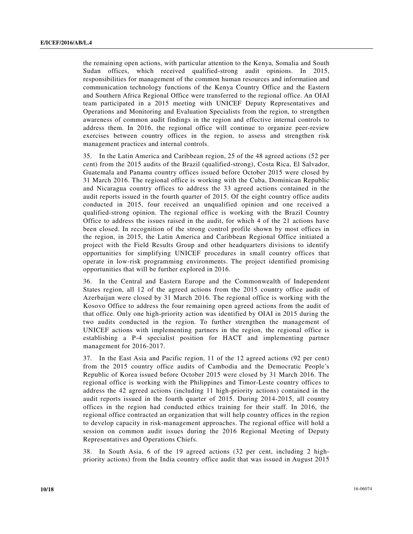the remaining open actions, with particular attention to the Kenya, Somalia and South Sudan offices, which received qualified-strong audit opinions. In 2015, responsibilities for management of the common human resources and information and communication technology functions of the Kenya Country Office and the Eastern and Southern Africa Regional Office were transferred to the regional office. An OIAI team participated in a 2015 meeting with UNICEF Deputy Representatives and Operations and Monitoring and Evaluation Specialists from the region, to strengthen awareness of common audit findings in the region and effective internal controls to address them. In 2016, the regional office will continue to organize peer-review exercises between country offices in the region, to assess and strengthen risk management practices and internal controls.

35. In the Latin America and Caribbean region, 25 of the 48 agreed actions (52 per cent) from the 2015 audits of the Brazil (qualified-strong), Costa Rica, El Salvador, Guatemala and Panama country offices issued before October 2015 were closed by 31 March 2016. The regional office is working with the Cuba, Dominican Republic and Nicaragua country offices to address the 33 agreed actions contained in the audit reports issued in the fourth quarter of 2015. Of the eight country office audits conducted in 2015, four received an unqualified opinion and one received a qualified-strong opinion. The regional office is working with the Brazil Country Office to address the issues raised in the audit, for which 4 of the 21 actions have been closed. In recognition of the strong control profile shown by most offices in the region, in 2015, the Latin America and Caribbean Regional Office initiated a project with the Field Results Group and other headquarters divisions to identify opportunities for simplifying UNICEF procedures in small country offices that operate in low-risk programming environments. The project identified promising opportunities that will be further explored in 2016.

36. In the Central and Eastern Europe and the Commonwealth of Independent States region, all 12 of the agreed actions from the 2015 country office audit of Azerbaijan were closed by 31 March 2016. The regional office is working with the Kosovo Office to address the four remaining open agreed actions from the audit of that office. Only one high-priority action was identified by OIAI in 2015 during the two audits conducted in the region. To further strengthen the management of UNICEF actions with implementing partners in the region, the regional office is establishing a P-4 specialist position for HACT and implementing partner management for 2016-2017.

37. In the East Asia and Pacific region, 11 of the 12 agreed actions (92 per cent) from the 2015 country office audits of Cambodia and the Democratic People's Republic of Korea issued before October 2015 were closed by 31 March 2016. The regional office is working with the Philippines and Timor-Leste country offices to address the 42 agreed actions (including 11 high-priority actions) contained in the audit reports issued in the fourth quarter of 2015. During 2014-2015, all country offices in the region had conducted ethics training for their staff. In 2016, the regional office contracted an organization that will help country offices in the region to develop capacity in risk-management approaches. The regional office will hold a session on common audit issues during the 2016 Regional Meeting of Deputy Representatives and Operations Chiefs.

38. In South Asia, 6 of the 19 agreed actions (32 per cent, including 2 highpriority actions) from the India country office audit that was issued in August 2015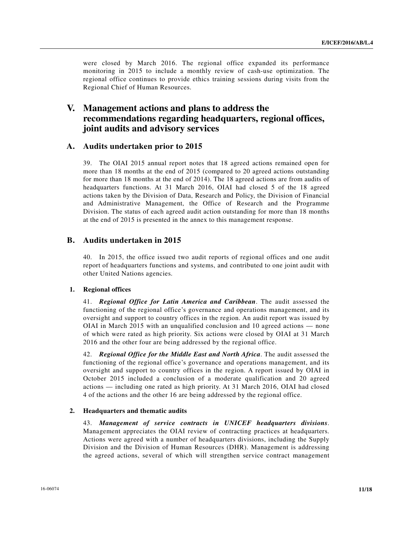were closed by March 2016. The regional office expanded its performance monitoring in 2015 to include a monthly review of cash-use optimization. The regional office continues to provide ethics training sessions during visits from the Regional Chief of Human Resources.

# **V. Management actions and plans to address the recommendations regarding headquarters, regional offices, joint audits and advisory services**

## **A. Audits undertaken prior to 2015**

39. The OIAI 2015 annual report notes that 18 agreed actions remained open for more than 18 months at the end of 2015 (compared to 20 agreed actions outstanding for more than 18 months at the end of 2014). The 18 agreed actions are from audits of headquarters functions. At 31 March 2016, OIAI had closed 5 of the 18 agreed actions taken by the Division of Data, Research and Policy, the Division of Financial and Administrative Management, the Office of Research and the Programme Division. The status of each agreed audit action outstanding for more than 18 months at the end of 2015 is presented in the annex to this management response.

## **B. Audits undertaken in 2015**

40. In 2015, the office issued two audit reports of regional offices and one audit report of headquarters functions and systems, and contributed to one joint audit with other United Nations agencies.

#### **1. Regional offices**

41. *Regional Office for Latin America and Caribbean*. The audit assessed the functioning of the regional office's governance and operations management, and its oversight and support to country offices in the region. An audit report was issued by OIAI in March 2015 with an unqualified conclusion and 10 agreed actions — none of which were rated as high priority. Six actions were closed by OIAI at 31 March 2016 and the other four are being addressed by the regional office.

42. *Regional Office for the Middle East and North Africa*. The audit assessed the functioning of the regional office's governance and operations management, and its oversight and support to country offices in the region. A report issued by OIAI in October 2015 included a conclusion of a moderate qualification and 20 agreed actions — including one rated as high priority. At 31 March 2016, OIAI had closed 4 of the actions and the other 16 are being addressed by the regional office.

#### **2. Headquarters and thematic audits**

43. *Management of service contracts in UNICEF headquarters divisions*. Management appreciates the OIAI review of contracting practices at headquarters. Actions were agreed with a number of headquarters divisions, including the Supply Division and the Division of Human Resources (DHR). Management is addressing the agreed actions, several of which will strengthen service contract management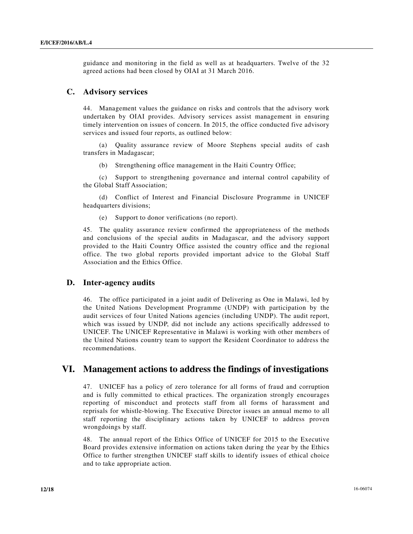guidance and monitoring in the field as well as at headquarters. Twelve of the 32 agreed actions had been closed by OIAI at 31 March 2016.

## **C. Advisory services**

44. Management values the guidance on risks and controls that the advisory work undertaken by OIAI provides. Advisory services assist management in ensuring timely intervention on issues of concern. In 2015, the office conducted five advisory services and issued four reports, as outlined below:

 (a) Quality assurance review of Moore Stephens special audits of cash transfers in Madagascar;

(b) Strengthening office management in the Haiti Country Office;

 (c) Support to strengthening governance and internal control capability of the Global Staff Association;

 (d) Conflict of Interest and Financial Disclosure Programme in UNICEF headquarters divisions;

(e) Support to donor verifications (no report).

45. The quality assurance review confirmed the appropriateness of the methods and conclusions of the special audits in Madagascar, and the advisory support provided to the Haiti Country Office assisted the country office and the regional office. The two global reports provided important advice to the Global Staff Association and the Ethics Office.

#### **D. Inter-agency audits**

46. The office participated in a joint audit of Delivering as One in Malawi, led by the United Nations Development Programme (UNDP) with participation by the audit services of four United Nations agencies (including UNDP). The audit report, which was issued by UNDP, did not include any actions specifically addressed to UNICEF. The UNICEF Representative in Malawi is working with other members of the United Nations country team to support the Resident Coordinator to address the recommendations.

# **VI. Management actions to address the findings of investigations**

47. UNICEF has a policy of zero tolerance for all forms of fraud and corruption and is fully committed to ethical practices. The organization strongly encourages reporting of misconduct and protects staff from all forms of harassment and reprisals for whistle-blowing. The Executive Director issues an annual memo to all staff reporting the disciplinary actions taken by UNICEF to address proven wrongdoings by staff.

48. The annual report of the Ethics Office of UNICEF for 2015 to the Executive Board provides extensive information on actions taken during the year by the Ethics Office to further strengthen UNICEF staff skills to identify issues of ethical choice and to take appropriate action.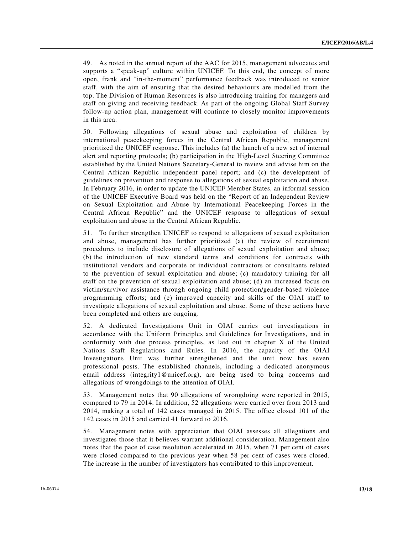49. As noted in the annual report of the AAC for 2015, management advocates and supports a "speak-up" culture within UNICEF. To this end, the concept of more open, frank and "in-the-moment" performance feedback was introduced to senior staff, with the aim of ensuring that the desired behaviours are modelled from the top. The Division of Human Resources is also introducing training for managers and staff on giving and receiving feedback. As part of the ongoing Global Staff Survey follow-up action plan, management will continue to closely monitor improvements in this area.

50. Following allegations of sexual abuse and exploitation of children by international peacekeeping forces in the Central African Republic, management prioritized the UNICEF response. This includes (a) the launch of a new set of internal alert and reporting protocols; (b) participation in the High-Level Steering Committee established by the United Nations Secretary-General to review and advise him on the Central African Republic independent panel report; and (c) the development of guidelines on prevention and response to allegations of sexual exploitation and abuse. In February 2016, in order to update the UNICEF Member States, an informal session of the UNICEF Executive Board was held on the "Report of an Independent Review on Sexual Exploitation and Abuse by International Peacekeeping Forces in the Central African Republic" and the UNICEF response to allegations of sexual exploitation and abuse in the Central African Republic.

51. To further strengthen UNICEF to respond to allegations of sexual exploitation and abuse, management has further prioritized (a) the review of recruitment procedures to include disclosure of allegations of sexual exploitation and abuse; (b) the introduction of new standard terms and conditions for contracts with institutional vendors and corporate or individual contractors or consultants related to the prevention of sexual exploitation and abuse; (c) mandatory training for all staff on the prevention of sexual exploitation and abuse; (d) an increased focus on victim/survivor assistance through ongoing child protection/gender-based violence programming efforts; and (e) improved capacity and skills of the OIAI staff to investigate allegations of sexual exploitation and abuse. Some of these actions have been completed and others are ongoing.

52. A dedicated Investigations Unit in OIAI carries out investigations in accordance with the Uniform Principles and Guidelines for Investigations, and in conformity with due process principles, as laid out in chapter X of the United Nations Staff Regulations and Rules. In 2016, the capacity of the OIAI Investigations Unit was further strengthened and the unit now has seven professional posts. The established channels, including a dedicated anonymous email address (integrity1@unicef.org), are being used to bring concerns and allegations of wrongdoings to the attention of OIAI.

53. Management notes that 90 allegations of wrongdoing were reported in 2015, compared to 79 in 2014. In addition, 52 allegations were carried over from 2013 and 2014, making a total of 142 cases managed in 2015. The office closed 101 of the 142 cases in 2015 and carried 41 forward to 2016.

54. Management notes with appreciation that OIAI assesses all allegations and investigates those that it believes warrant additional consideration. Management also notes that the pace of case resolution accelerated in 2015, when 71 per cent of cases were closed compared to the previous year when 58 per cent of cases were closed. The increase in the number of investigators has contributed to this improvement.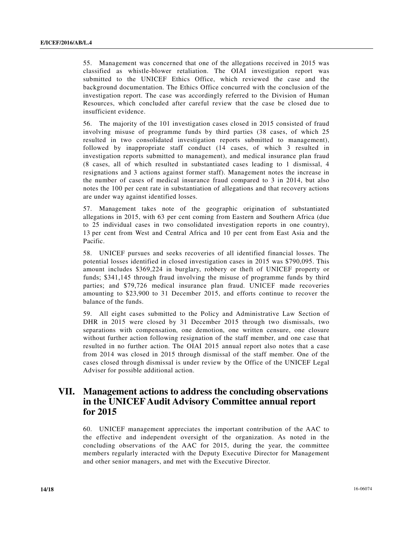55. Management was concerned that one of the allegations received in 2015 was classified as whistle-blower retaliation. The OIAI investigation report was submitted to the UNICEF Ethics Office, which reviewed the case and the background documentation. The Ethics Office concurred with the conclusion of the investigation report. The case was accordingly referred to the Division of Human Resources, which concluded after careful review that the case be closed due to insufficient evidence.

56. The majority of the 101 investigation cases closed in 2015 consisted of fraud involving misuse of programme funds by third parties (38 cases, of which 25 resulted in two consolidated investigation reports submitted to management), followed by inappropriate staff conduct (14 cases, of which 3 resulted in investigation reports submitted to management), and medical insurance plan fraud (8 cases, all of which resulted in substantiated cases leading to 1 dismissal, 4 resignations and 3 actions against former staff). Management notes the increase in the number of cases of medical insurance fraud compared to 3 in 2014, but also notes the 100 per cent rate in substantiation of allegations and that recovery actions are under way against identified losses.

57. Management takes note of the geographic origination of substantiated allegations in 2015, with 63 per cent coming from Eastern and Southern Africa (due to 25 individual cases in two consolidated investigation reports in one country), 13 per cent from West and Central Africa and 10 per cent from East Asia and the Pacific.

58. UNICEF pursues and seeks recoveries of all identified financial losses. The potential losses identified in closed investigation cases in 2015 was \$790,095. This amount includes \$369,224 in burglary, robbery or theft of UNICEF property or funds; \$341,145 through fraud involving the misuse of programme funds by third parties; and \$79,726 medical insurance plan fraud. UNICEF made recoveries amounting to \$23,900 to 31 December 2015, and efforts continue to recover the balance of the funds.

59. All eight cases submitted to the Policy and Administrative Law Section of DHR in 2015 were closed by 31 December 2015 through two dismissals, two separations with compensation, one demotion, one written censure, one closure without further action following resignation of the staff member, and one case that resulted in no further action. The OIAI 2015 annual report also notes that a case from 2014 was closed in 2015 through dismissal of the staff member. One of the cases closed through dismissal is under review by the Office of the UNICEF Legal Adviser for possible additional action.

# **VII. Management actions to address the concluding observations in the UNICEF Audit Advisory Committee annual report for 2015**

60. UNICEF management appreciates the important contribution of the AAC to the effective and independent oversight of the organization. As noted in the concluding observations of the AAC for 2015, during the year, the committee members regularly interacted with the Deputy Executive Director for Management and other senior managers, and met with the Executive Director.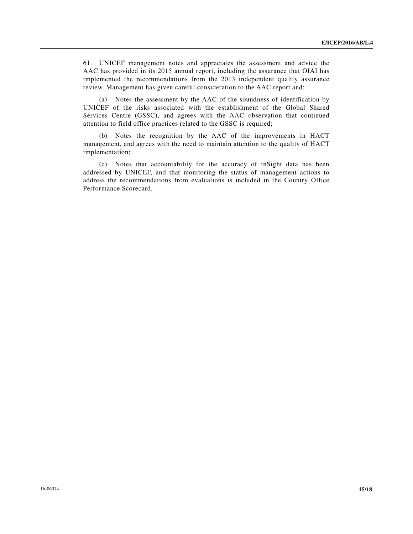61. UNICEF management notes and appreciates the assessment and advice the AAC has provided in its 2015 annual report, including the assurance that OIAI has implemented the recommendations from the 2013 independent quality assurance review. Management has given careful consideration to the AAC report and:

 (a) Notes the assessment by the AAC of the soundness of identification by UNICEF of the risks associated with the establishment of the Global Shared Services Centre (GSSC), and agrees with the AAC observation that continued attention to field office practices related to the GSSC is required;

 (b) Notes the recognition by the AAC of the improvements in HACT management, and agrees with the need to maintain attention to the quality of HACT implementation;

 (c) Notes that accountability for the accuracy of inSight data has been addressed by UNICEF, and that monitoring the status of management actions to address the recommendations from evaluations is included in the Country Office Performance Scorecard.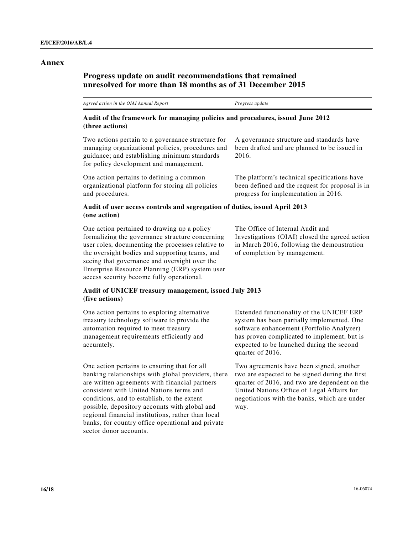### **Annex**

# **Progress update on audit recommendations that remained unresolved for more than 18 months as of 31 December 2015**

*Agreed action in the OIAI Annual Report Progress update* 

## **Audit of the framework for managing policies and procedures, issued June 2012 (three actions)**

Two actions pertain to a governance structure for managing organizational policies, procedures and guidance; and establishing minimum standards for policy development and management.

One action pertains to defining a common organizational platform for storing all policies and procedures.

### A governance structure and standards have been drafted and are planned to be issued in 2016.

The platform's technical specifications have been defined and the request for proposal is in progress for implementation in 2016.

### **Audit of user access controls and segregation of duties, issued April 2013 (one action)**

One action pertained to drawing up a policy formalizing the governance structure concerning user roles, documenting the processes relative to the oversight bodies and supporting teams, and seeing that governance and oversight over the Enterprise Resource Planning (ERP) system user access security become fully operational.

### **Audit of UNICEF treasury management, issued July 2013 (five actions)**

One action pertains to exploring alternative treasury technology software to provide the automation required to meet treasury management requirements efficiently and accurately.

One action pertains to ensuring that for all banking relationships with global providers, there are written agreements with financial partners consistent with United Nations terms and conditions, and to establish, to the extent possible, depository accounts with global and regional financial institutions, rather than local banks, for country office operational and private sector donor accounts.

The Office of Internal Audit and Investigations (OIAI) closed the agreed action in March 2016, following the demonstration of completion by management.

Extended functionality of the UNICEF ERP system has been partially implemented. One software enhancement (Portfolio Analyzer) has proven complicated to implement, but is expected to be launched during the second quarter of 2016.

Two agreements have been signed, another two are expected to be signed during the first quarter of 2016, and two are dependent on the United Nations Office of Legal Affairs for negotiations with the banks, which are under way.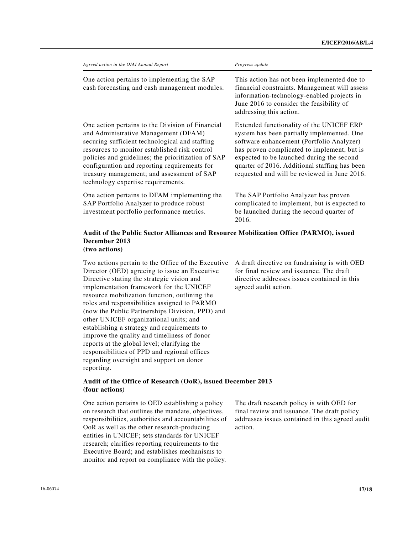| Agreed action in the OIAI Annual Report                                                                                                                                                                                                                                                                                                                                               | Progress update                                                                                                                                                                                                                                                                                                                  |  |  |
|---------------------------------------------------------------------------------------------------------------------------------------------------------------------------------------------------------------------------------------------------------------------------------------------------------------------------------------------------------------------------------------|----------------------------------------------------------------------------------------------------------------------------------------------------------------------------------------------------------------------------------------------------------------------------------------------------------------------------------|--|--|
| One action pertains to implementing the SAP<br>cash forecasting and cash management modules.                                                                                                                                                                                                                                                                                          | This action has not been implemented due to<br>financial constraints. Management will assess<br>information-technology-enabled projects in<br>June 2016 to consider the feasibility of<br>addressing this action.                                                                                                                |  |  |
| One action pertains to the Division of Financial<br>and Administrative Management (DFAM)<br>securing sufficient technological and staffing<br>resources to monitor established risk control<br>policies and guidelines; the prioritization of SAP<br>configuration and reporting requirements for<br>treasury management; and assessment of SAP<br>technology expertise requirements. | Extended functionality of the UNICEF ERP<br>system has been partially implemented. One<br>software enhancement (Portfolio Analyzer)<br>has proven complicated to implement, but is<br>expected to be launched during the second<br>quarter of 2016. Additional staffing has been<br>requested and will be reviewed in June 2016. |  |  |
| One action pertains to DFAM implementing the<br>SAP Portfolio Analyzer to produce robust<br>investment portfolio performance metrics.                                                                                                                                                                                                                                                 | The SAP Portfolio Analyzer has proven<br>complicated to implement, but is expected to<br>be launched during the second quarter of<br>2016.                                                                                                                                                                                       |  |  |
| Audit of the Public Sector Alliances and Resource Mobilization Office (PARMO) issued                                                                                                                                                                                                                                                                                                  |                                                                                                                                                                                                                                                                                                                                  |  |  |

#### **Audit of the Public Sector Alliances and Resource Mobilization Office (PARMO), issued December 2013 (two actions)**

Two actions pertain to the Office of the Executive Director (OED) agreeing to issue an Executive Directive stating the strategic vision and implementation framework for the UNICEF resource mobilization function, outlining the roles and responsibilities assigned to PARMO (now the Public Partnerships Division, PPD) and other UNICEF organizational units; and establishing a strategy and requirements to improve the quality and timeliness of donor reports at the global level; clarifying the responsibilities of PPD and regional offices regarding oversight and support on donor reporting.

A draft directive on fundraising is with OED for final review and issuance. The draft directive addresses issues contained in this agreed audit action.

## **Audit of the Office of Research (OoR), issued December 2013 (four actions)**

One action pertains to OED establishing a policy on research that outlines the mandate, objectives, responsibilities, authorities and accountabilities of OoR as well as the other research-producing entities in UNICEF; sets standards for UNICEF research; clarifies reporting requirements to the Executive Board; and establishes mechanisms to monitor and report on compliance with the policy.

The draft research policy is with OED for final review and issuance. The draft policy addresses issues contained in this agreed audit action.